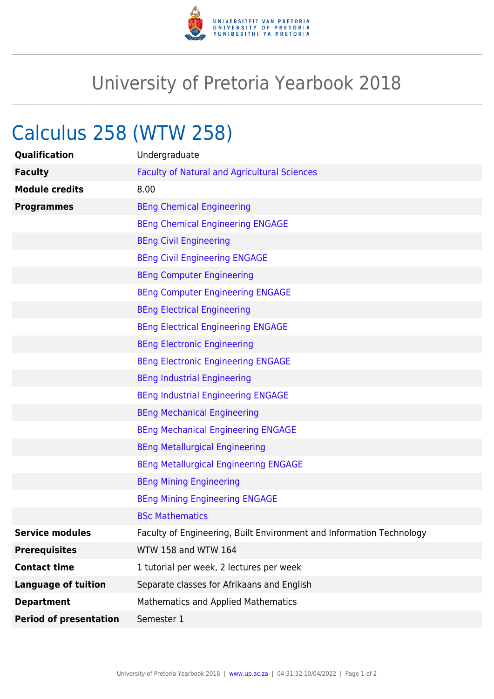

## University of Pretoria Yearbook 2018

## Calculus 258 (WTW 258)

| Qualification                 | Undergraduate                                                        |
|-------------------------------|----------------------------------------------------------------------|
| <b>Faculty</b>                | <b>Faculty of Natural and Agricultural Sciences</b>                  |
| <b>Module credits</b>         | 8.00                                                                 |
| <b>Programmes</b>             | <b>BEng Chemical Engineering</b>                                     |
|                               | <b>BEng Chemical Engineering ENGAGE</b>                              |
|                               | <b>BEng Civil Engineering</b>                                        |
|                               | <b>BEng Civil Engineering ENGAGE</b>                                 |
|                               | <b>BEng Computer Engineering</b>                                     |
|                               | <b>BEng Computer Engineering ENGAGE</b>                              |
|                               | <b>BEng Electrical Engineering</b>                                   |
|                               | <b>BEng Electrical Engineering ENGAGE</b>                            |
|                               | <b>BEng Electronic Engineering</b>                                   |
|                               | <b>BEng Electronic Engineering ENGAGE</b>                            |
|                               | <b>BEng Industrial Engineering</b>                                   |
|                               | <b>BEng Industrial Engineering ENGAGE</b>                            |
|                               | <b>BEng Mechanical Engineering</b>                                   |
|                               | <b>BEng Mechanical Engineering ENGAGE</b>                            |
|                               | <b>BEng Metallurgical Engineering</b>                                |
|                               | <b>BEng Metallurgical Engineering ENGAGE</b>                         |
|                               | <b>BEng Mining Engineering</b>                                       |
|                               | <b>BEng Mining Engineering ENGAGE</b>                                |
|                               | <b>BSc Mathematics</b>                                               |
| <b>Service modules</b>        | Faculty of Engineering, Built Environment and Information Technology |
| <b>Prerequisites</b>          | WTW 158 and WTW 164                                                  |
| <b>Contact time</b>           | 1 tutorial per week, 2 lectures per week                             |
| <b>Language of tuition</b>    | Separate classes for Afrikaans and English                           |
| <b>Department</b>             | Mathematics and Applied Mathematics                                  |
| <b>Period of presentation</b> | Semester 1                                                           |
|                               |                                                                      |